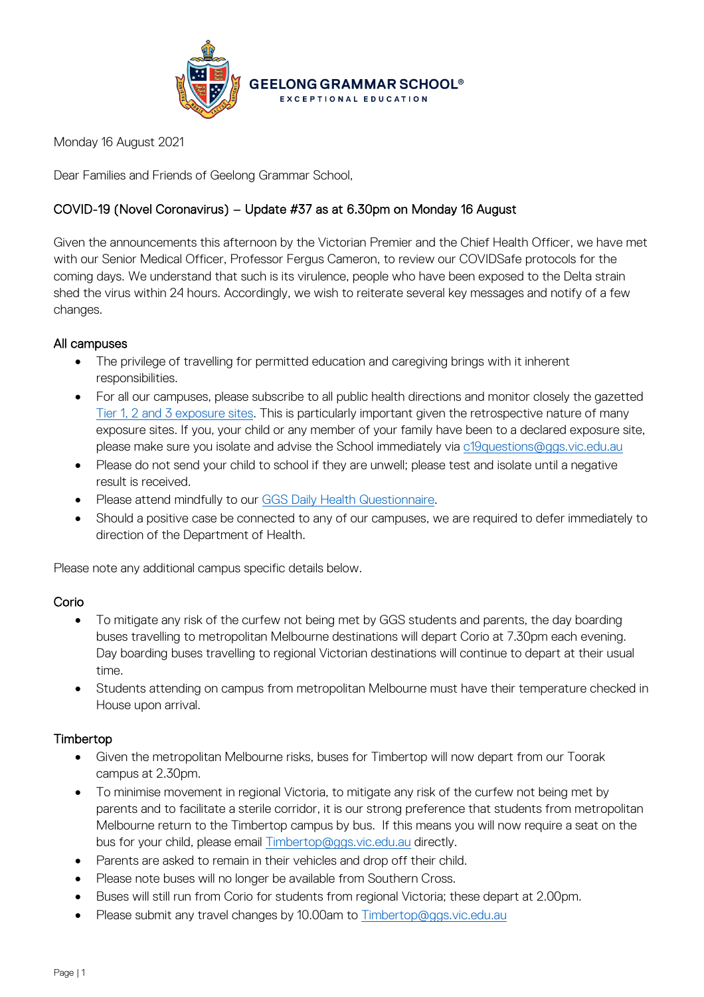

Monday 16 August 2021

Dear Families and Friends of Geelong Grammar School,

# COVID-19 (Novel Coronavirus) – Update #37 as at 6.30pm on Monday 16 August

Given the announcements this afternoon by the Victorian Premier and the Chief Health Officer, we have met with our Senior Medical Officer, Professor Fergus Cameron, to review our COVIDSafe protocols for the coming days. We understand that such is its virulence, people who have been exposed to the Delta strain shed the virus within 24 hours. Accordingly, we wish to reiterate several key messages and notify of a few changes.

#### All campuses

- The privilege of travelling for permitted education and caregiving brings with it inherent responsibilities.
- For all our campuses, please subscribe to all public health directions and monitor closely the gazetted [Tier 1, 2 and 3 exposure sites.](https://www.coronavirus.vic.gov.au/exposure-sites) This is particularly important given the retrospective nature of many exposure sites. If you, your child or any member of your family have been to a declared exposure site, please make sure you isolate and advise the School immediately via [c19questions@ggs.vic.edu.au](mailto:c19questions@ggs.vic.edu.au)
- Please do not send your child to school if they are unwell; please test and isolate until a negative result is received.
- Please attend mindfully to our [GGS Daily Health Questionnaire.](https://forms.office.com/Pages/ResponsePage.aspx?id=ELu_KfmYBkWxD1P2rSx8Ev-kTHtY0BRDgodmf5vZO-ZUMlA3SjBJOTlGTENIQk5aVjlRMFdIMTZCQS4u&wdLOR=c6ADEBC50-953A-40B2-8789-919A85C6009F)
- Should a positive case be connected to any of our campuses, we are required to defer immediately to direction of the Department of Health.

Please note any additional campus specific details below.

## Corio

- To mitigate any risk of the curfew not being met by GGS students and parents, the day boarding buses travelling to metropolitan Melbourne destinations will depart Corio at 7.30pm each evening. Day boarding buses travelling to regional Victorian destinations will continue to depart at their usual time.
- Students attending on campus from metropolitan Melbourne must have their temperature checked in House upon arrival.

## Timbertop

- Given the metropolitan Melbourne risks, buses for Timbertop will now depart from our Toorak campus at 2.30pm.
- To minimise movement in regional Victoria, to mitigate any risk of the curfew not being met by parents and to facilitate a sterile corridor, it is our strong preference that students from metropolitan Melbourne return to the Timbertop campus by bus. If this means you will now require a seat on the bus for your child, please email **Timbertop@ggs.vic.edu.au directly.**
- Parents are asked to remain in their vehicles and drop off their child.
- Please note buses will no longer be available from Southern Cross.
- Buses will still run from Corio for students from regional Victoria; these depart at 2.00pm.
- Please submit any travel changes by 10.00am to [Timbertop@ggs.vic.edu.au](mailto:Timbertop@ggs.vic.edu.au)